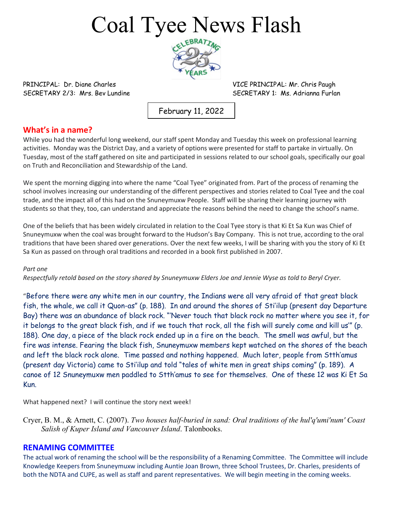## Coal Tyee News Flash



PRINCIPAL: Dr. Diane Charles **VICE PRINCIPAL: Mr. Chris Paugh** 

SECRETARY 2/3: Mrs. Bev Lundine Secretary 1: Ms. Adrianna Furlan

February 11, 2022

#### **What's in a name?**

While you had the wonderful long weekend, our staff spent Monday and Tuesday this week on professional learning activities. Monday was the District Day, and a variety of options were presented for staff to partake in virtually. On Tuesday, most of the staff gathered on site and participated in sessions related to our school goals, specifically our goal on Truth and Reconciliation and Stewardship of the Land.

We spent the morning digging into where the name "Coal Tyee" originated from. Part of the process of renaming the school involves increasing our understanding of the different perspectives and stories related to Coal Tyee and the coal trade, and the impact all of this had on the Snuneymuxw People. Staff will be sharing their learning journey with students so that they, too, can understand and appreciate the reasons behind the need to change the school's name.

One of the beliefs that has been widely circulated in relation to the Coal Tyee story is that Ki Et Sa Kun was Chief of Snuneymuxw when the coal was brought forward to the Hudson's Bay Company. This is not true, according to the oral traditions that have been shared over generations. Over the next few weeks, I will be sharing with you the story of Ki Et Sa Kun as passed on through oral traditions and recorded in a book first published in 2007.

#### *Part one*

*Respectfully retold based on the story shared by Snuneymuxw Elders Joe and Jennie Wyse as told to Beryl Cryer.*

"Before there were any white men in our country, the Indians were all very afraid of that great black fish, the whale, we call it Quon-as" (p. 188). In and around the shores of Sti'ilup (present day Departure Bay) there was an abundance of black rock. "'Never touch that black rock no matter where you see it, for it belongs to the great black fish, and if we touch that rock, all the fish will surely come and kill us'" (p. 188). One day, a piece of the black rock ended up in a fire on the beach. The smell was awful, but the fire was intense. Fearing the black fish, Snuneymuxw members kept watched on the shores of the beach and left the black rock alone. Time passed and nothing happened. Much later, people from Stth'amus (present day Victoria) came to Sti'ilup and told "tales of white men in great ships coming" (p. 189). A canoe of 12 Snuneymuxw men paddled to Stth'amus to see for themselves. One of these 12 was Ki Et Sa Kun.

What happened next? I will continue the story next week!

Cryer, B. M., & Arnett, C. (2007). *Two houses half-buried in sand: Oral traditions of the hul'q'umi'num' Coast Salish of Kuper Island and Vancouver Island*. Talonbooks.

#### **RENAMING COMMITTEE**

The actual work of renaming the school will be the responsibility of a Renaming Committee. The Committee will include Knowledge Keepers from Snuneymuxw including Auntie Joan Brown, three School Trustees, Dr. Charles, presidents of both the NDTA and CUPE, as well as staff and parent representatives. We will begin meeting in the coming weeks.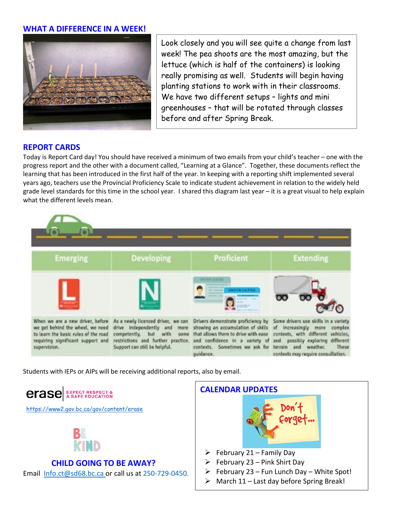#### **WHAT A DIFFERENCE IN A WEEK!**



Look closely and you will see quite a change from last week! The pea shoots are the most amazing, but the lettuce (which is half of the containers) is looking really promising as well. Students will begin having planting stations to work with in their classrooms. We have two different setups – lights and mini greenhouses – that will be rotated through classes before and after Spring Break.

#### **REPORT CARDS**

Today is Report Card day! You should have received a minimum of two emails from your child's teacher – one with the progress report and the other with a document called, "Learning at a Glance". Together, these documents reflect the learning that has been introduced in the first half of the year. In keeping with a reporting shift implemented several years ago, teachers use the Provincial Proficiency Scale to indicate student achievement in relation to the widely held grade level standards for this time in the school year. I shared this diagram last year – it is a great visual to help explain what the different levels mean.

#### **Developing Proficient Extending Emerging** When we are a new driver, before As a newly licenced driver, we can Drivers demonstrate proficiency by Some drivers use skills in a variety we get behind the wheel, we need drive independently and more showing an accumulation of skills of increasingly more complex to learn the basic rules of the road competently, but with some that allows them to drive with ease contexts, with different vehicles, requiring significant support and restrictions and further practice. and confidence in a variety of and possibly exploring different Support can still be helpful. contexts. Sometimes we ask for terrain and weather. supervision. These guidance. contexts may require consultation.

Students with IEPs or AIPs will be receiving additional reports, also by email.

**erase** EXPECT RESPECT &

<https://www2.gov.bc.ca/gov/content/erase>



### **CHILD GOING TO BE AWAY?**

Email [Info.ct@sd68.bc.ca](mailto:Info.ct@sd68.bc.ca) or call us at 250-729-0450.

# **CALENDAR UPDATES**

- $\triangleright$  February 21 Family Day
- $\triangleright$  February 23 Pink Shirt Day
- $\triangleright$  February 23 Fun Lunch Day White Spot!
- $\triangleright$  March 11 Last day before Spring Break!